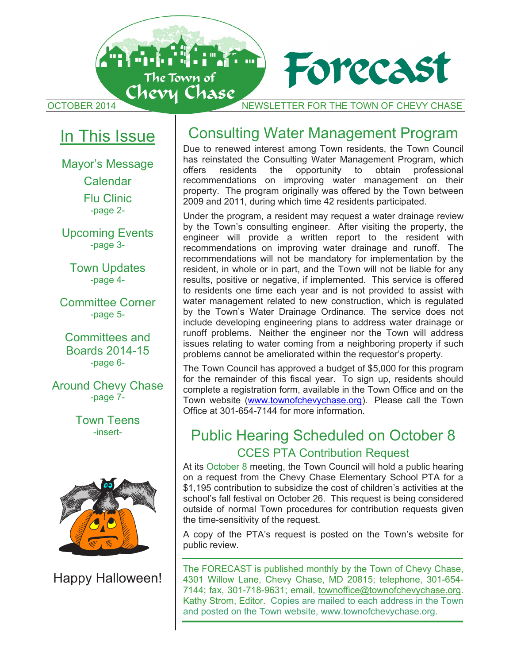

# In This Issue

Mayor's Message Calendar Flu Clinic -page 2-

Upcoming Events -page 3-

Town Updates -page 4-

Committee Corner -page 5-

Committees and Boards 2014-15 -page 6-

Around Chevy Chase -page 7-

> Town Teens -insert-



Happy Halloween!

# Consulting Water Management Program

Due to renewed interest among Town residents, the Town Council has reinstated the Consulting Water Management Program, which<br>offers residents the opportunity to obtain professional the opportunity to obtain professional recommendations on improving water management on their property. The program originally was offered by the Town between 2009 and 2011, during which time 42 residents participated.

Under the program, a resident may request a water drainage review by the Town's consulting engineer. After visiting the property, the engineer will provide a written report to the resident with recommendations on improving water drainage and runoff. The recommendations will not be mandatory for implementation by the resident, in whole or in part, and the Town will not be liable for any results, positive or negative, if implemented. This service is offered to residents one time each year and is not provided to assist with water management related to new construction, which is regulated by the Town's Water Drainage Ordinance. The service does not include developing engineering plans to address water drainage or runoff problems. Neither the engineer nor the Town will address issues relating to water coming from a neighboring property if such problems cannot be ameliorated within the requestor's property.

The Town Council has approved a budget of \$5,000 for this program for the remainder of this fiscal year. To sign up, residents should complete a registration form, available in the Town Office and on the Town website (www.townofchevychase.org). Please call the Town Office at 301-654-7144 for more information.

# Public Hearing Scheduled on October 8 CCES PTA Contribution Request

At its October 8 meeting, the Town Council will hold a public hearing on a request from the Chevy Chase Elementary School PTA for a \$1,195 contribution to subsidize the cost of children's activities at the school's fall festival on October 26. This request is being considered outside of normal Town procedures for contribution requests given the time-sensitivity of the request.

A copy of the PTA's request is posted on the Town's website for public review.

The FORECAST is published monthly by the Town of Chevy Chase, 4301 Willow Lane, Chevy Chase, MD 20815; telephone, 301-654- 7144; fax, 301-718-9631; email, townoffice@townofchevychase.org. Kathy Strom, Editor. Copies are mailed to each address in the Town and posted on the Town website, www.townofchevychase.org.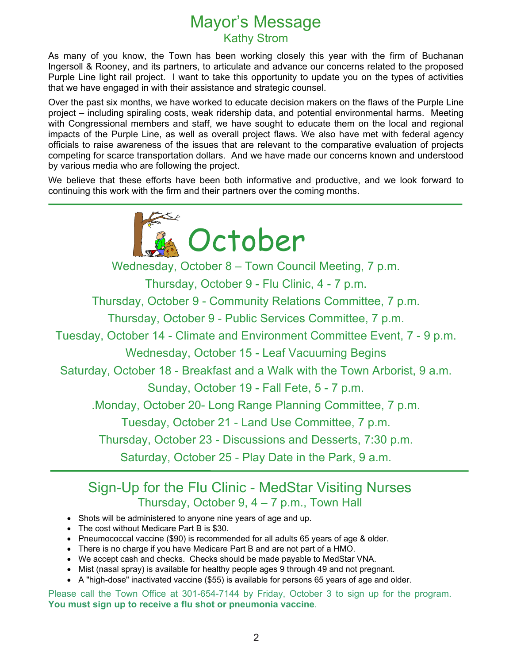# Mayor's Message Kathy Strom

As many of you know, the Town has been working closely this year with the firm of Buchanan Ingersoll & Rooney, and its partners, to articulate and advance our concerns related to the proposed Purple Line light rail project. I want to take this opportunity to update you on the types of activities that we have engaged in with their assistance and strategic counsel.

Over the past six months, we have worked to educate decision makers on the flaws of the Purple Line project – including spiraling costs, weak ridership data, and potential environmental harms. Meeting with Congressional members and staff, we have sought to educate them on the local and regional impacts of the Purple Line, as well as overall project flaws. We also have met with federal agency officials to raise awareness of the issues that are relevant to the comparative evaluation of projects competing for scarce transportation dollars. And we have made our concerns known and understood by various media who are following the project.

We believe that these efforts have been both informative and productive, and we look forward to continuing this work with the firm and their partners over the coming months.



Wednesday, October 8 – Town Council Meeting, 7 p.m.

Thursday, October 9 - Flu Clinic, 4 - 7 p.m.

Thursday, October 9 - Community Relations Committee, 7 p.m.

Thursday, October 9 - Public Services Committee, 7 p.m.

Tuesday, October 14 - Climate and Environment Committee Event, 7 - 9 p.m.

Wednesday, October 15 - Leaf Vacuuming Begins

Saturday, October 18 - Breakfast and a Walk with the Town Arborist, 9 a.m.

Sunday, October 19 - Fall Fete, 5 - 7 p.m.

.Monday, October 20- Long Range Planning Committee, 7 p.m.

Tuesday, October 21 - Land Use Committee, 7 p.m.

Thursday, October 23 - Discussions and Desserts, 7:30 p.m.

Saturday, October 25 - Play Date in the Park, 9 a.m.

# Sign-Up for the Flu Clinic - MedStar Visiting Nurses Thursday, October 9, 4 – 7 p.m., Town Hall

- Shots will be administered to anyone nine years of age and up.
- The cost without Medicare Part B is \$30.

L

- Pneumococcal vaccine (\$90) is recommended for all adults 65 years of age & older.
- There is no charge if you have Medicare Part B and are not part of a HMO.
- We accept cash and checks. Checks should be made payable to MedStar VNA.
- Mist (nasal spray) is available for healthy people ages 9 through 49 and not pregnant.
- A "high-dose" inactivated vaccine (\$55) is available for persons 65 years of age and older.

Please call the Town Office at 301-654-7144 by Friday, October 3 to sign up for the program. **You must sign up to receive a flu shot or pneumonia vaccine**.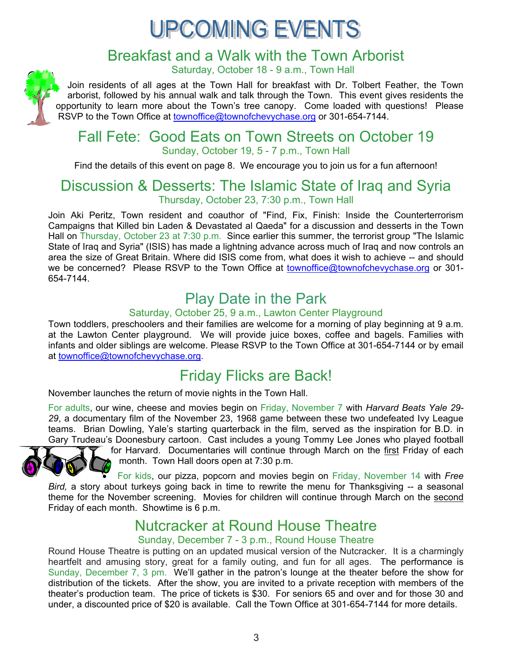# **UPCOMING EVENTS**

# Breakfast and a Walk with the Town Arborist

Saturday, October 18 - 9 a.m., Town Hall

Join residents of all ages at the Town Hall for breakfast with Dr. Tolbert Feather, the Town arborist, followed by his annual walk and talk through the Town. This event gives residents the opportunity to learn more about the Town's tree canopy. Come loaded with questions! Please RSVP to the Town Office at townoffice@townofchevychase.org or 301-654-7144.

## Fall Fete: Good Eats on Town Streets on October 19 Sunday, October 19, 5 - 7 p.m., Town Hall

Find the details of this event on page 8. We encourage you to join us for a fun afternoon!

# Discussion & Desserts: The Islamic State of Iraq and Syria Thursday, October 23, 7:30 p.m., Town Hall

Join Aki Peritz, Town resident and coauthor of "Find, Fix, Finish: Inside the Counterterrorism Campaigns that Killed bin Laden & Devastated al Qaeda" for a discussion and desserts in the Town Hall on Thursday, October 23 at 7:30 p.m. Since earlier this summer, the terrorist group "The Islamic State of Iraq and Syria" (ISIS) has made a lightning advance across much of Iraq and now controls an area the size of Great Britain. Where did ISIS come from, what does it wish to achieve -- and should we be concerned? Please RSVP to the Town Office at townoffice@townofchevychase.org or 301-654-7144.

# Play Date in the Park

## Saturday, October 25, 9 a.m., Lawton Center Playground

Town toddlers, preschoolers and their families are welcome for a morning of play beginning at 9 a.m. at the Lawton Center playground. We will provide juice boxes, coffee and bagels. Families with infants and older siblings are welcome. Please RSVP to the Town Office at 301-654-7144 or by email at townoffice@townofchevychase.org.

# Friday Flicks are Back!

November launches the return of movie nights in the Town Hall.

For adults, our wine, cheese and movies begin on Friday, November 7 with *Harvard Beats Yale 29- 29*, a documentary film of the November 23, 1968 game between these two undefeated Ivy League teams. Brian Dowling, Yale's starting quarterback in the film, served as the inspiration for B.D. in Gary Trudeau's Doonesbury cartoon. Cast includes a young Tommy Lee Jones who played football



for Harvard. Documentaries will continue through March on the first Friday of each month. Town Hall doors open at 7:30 p.m.

 For kids, our pizza, popcorn and movies begin on Friday, November 14 with *Free Bird,* a story about turkeys going back in time to rewrite the menu for Thanksgiving -- a seasonal theme for the November screening. Movies for children will continue through March on the second Friday of each month. Showtime is 6 p.m.

# Nutcracker at Round House Theatre

## Sunday, December 7 - 3 p.m., Round House Theatre

Round House Theatre is putting on an updated musical version of the Nutcracker. It is a charmingly heartfelt and amusing story, great for a family outing, and fun for all ages. The performance is Sunday, December 7, 3 pm. We'll gather in the patron's lounge at the theater before the show for distribution of the tickets. After the show, you are invited to a private reception with members of the theater's production team. The price of tickets is \$30. For seniors 65 and over and for those 30 and under, a discounted price of \$20 is available. Call the Town Office at 301-654-7144 for more details.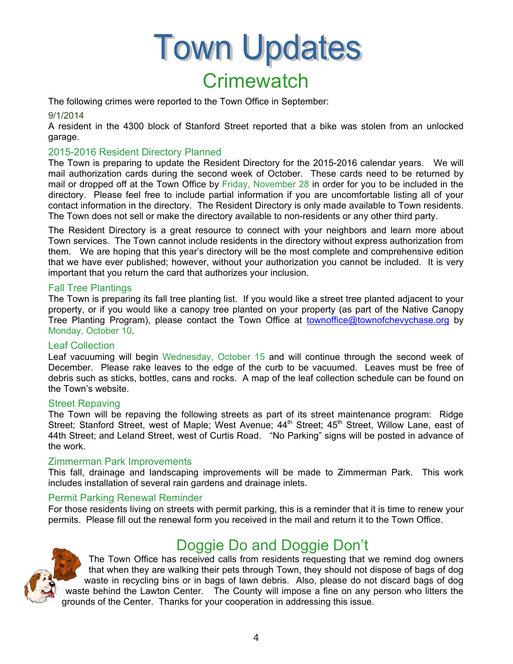# **Town Updates Crimewatch**

The following crimes were reported to the Town Office in September:

### 9/1/2014

A resident in the 4300 block of Stanford Street reported that a bike was stolen from an unlocked garage.

### 2015-2016 Resident Directory Planned

The Town is preparing to update the Resident Directory for the 2015-2016 calendar years. We will mail authorization cards during the second week of October. These cards need to be returned by mail or dropped off at the Town Office by Friday, November 28 in order for you to be included in the directory. Please feel free to include partial information if you are uncomfortable listing all of your contact information in the directory. The Resident Directory is only made available to Town residents. The Town does not sell or make the directory available to non-residents or any other third party.

The Resident Directory is a great resource to connect with your neighbors and learn more about Town services. The Town cannot include residents in the directory without express authorization from them. We are hoping that this year's directory will be the most complete and comprehensive edition that we have ever published; however, without your authorization you cannot be included. It is very important that you return the card that authorizes your inclusion.

### Fall Tree Plantings

The Town is preparing its fall tree planting list. If you would like a street tree planted adjacent to your property, or if you would like a canopy tree planted on your property (as part of the Native Canopy Tree Planting Program), please contact the Town Office at townoffice@townofchevychase.org by Monday, October 10.

### Leaf Collection

Leaf vacuuming will begin Wednesday, October 15 and will continue through the second week of December. Please rake leaves to the edge of the curb to be vacuumed. Leaves must be free of debris such as sticks, bottles, cans and rocks. A map of the leaf collection schedule can be found on the Town's website.

### Street Repaving

The Town will be repaving the following streets as part of its street maintenance program: Ridge Street; Stanford Street, west of Maple; West Avenue; 44<sup>th</sup> Street; 45<sup>th</sup> Street, Willow Lane, east of 44th Street; and Leland Street, west of Curtis Road. "No Parking" signs will be posted in advance of the work.

### Zimmerman Park Improvements

This fall, drainage and landscaping improvements will be made to Zimmerman Park. This work includes installation of several rain gardens and drainage inlets.

### Permit Parking Renewal Reminder

For those residents living on streets with permit parking, this is a reminder that it is time to renew your permits. Please fill out the renewal form you received in the mail and return it to the Town Office.



# Doggie Do and Doggie Don't

The Town Office has received calls from residents requesting that we remind dog owners that when they are walking their pets through Town, they should not dispose of bags of dog waste in recycling bins or in bags of lawn debris. Also, please do not discard bags of dog waste behind the Lawton Center. The County will impose a fine on any person who litters the grounds of the Center. Thanks for your cooperation in addressing this issue.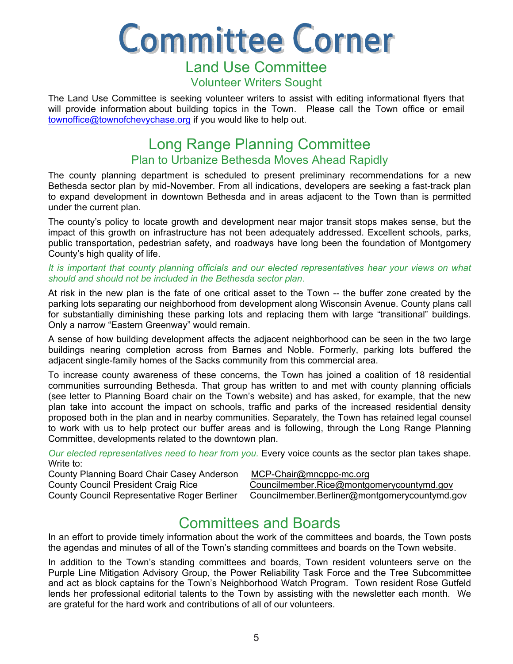**Committee Corner** Land Use Committee

## Volunteer Writers Sought

The Land Use Committee is seeking volunteer writers to assist with editing informational flyers that will provide information about building topics in the Town. Please call the Town office or email townoffice@townofchevychase.org if you would like to help out.

# Long Range Planning Committee Plan to Urbanize Bethesda Moves Ahead Rapidly

The county planning department is scheduled to present preliminary recommendations for a new Bethesda sector plan by mid-November. From all indications, developers are seeking a fast-track plan to expand development in downtown Bethesda and in areas adjacent to the Town than is permitted under the current plan.

The county's policy to locate growth and development near major transit stops makes sense, but the impact of this growth on infrastructure has not been adequately addressed. Excellent schools, parks, public transportation, pedestrian safety, and roadways have long been the foundation of Montgomery County's high quality of life.

#### *It is important that county planning officials and our elected representatives hear your views on what should and should not be included in the Bethesda sector plan*.

At risk in the new plan is the fate of one critical asset to the Town -- the buffer zone created by the parking lots separating our neighborhood from development along Wisconsin Avenue. County plans call for substantially diminishing these parking lots and replacing them with large "transitional" buildings. Only a narrow "Eastern Greenway" would remain.

A sense of how building development affects the adjacent neighborhood can be seen in the two large buildings nearing completion across from Barnes and Noble. Formerly, parking lots buffered the adjacent single-family homes of the Sacks community from this commercial area.

To increase county awareness of these concerns, the Town has joined a coalition of 18 residential communities surrounding Bethesda. That group has written to and met with county planning officials (see letter to Planning Board chair on the Town's website) and has asked, for example, that the new plan take into account the impact on schools, traffic and parks of the increased residential density proposed both in the plan and in nearby communities. Separately, the Town has retained legal counsel to work with us to help protect our buffer areas and is following, through the Long Range Planning Committee, developments related to the downtown plan.

*Our elected representatives need to hear from you.* Every voice counts as the sector plan takes shape. Write to:

County Planning Board Chair Casey Anderson MCP-Chair@mncppc-mc.org

County Council President Craig Rice Councilmember.Rice@montgomerycountymd.gov

County Council Representative Roger Berliner Councilmember.Berliner@montgomerycountymd.gov

# Committees and Boards

In an effort to provide timely information about the work of the committees and boards, the Town posts the agendas and minutes of all of the Town's standing committees and boards on the Town website.

In addition to the Town's standing committees and boards, Town resident volunteers serve on the Purple Line Mitigation Advisory Group, the Power Reliability Task Force and the Tree Subcommittee and act as block captains for the Town's Neighborhood Watch Program. Town resident Rose Gutfeld lends her professional editorial talents to the Town by assisting with the newsletter each month. We are grateful for the hard work and contributions of all of our volunteers.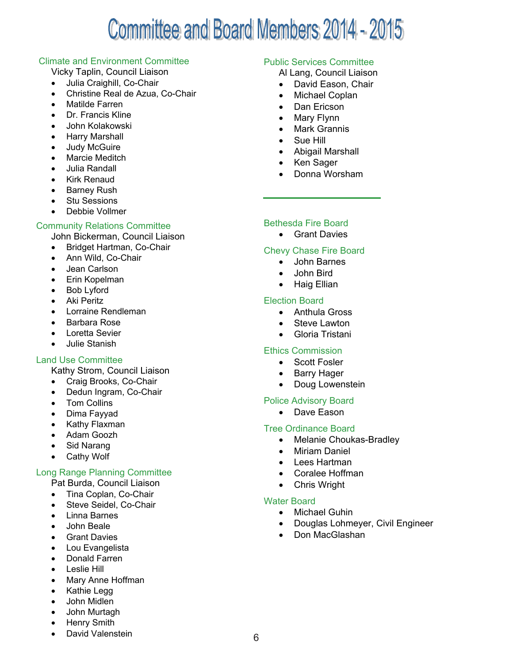# Committee and Board Members 2014 - 2015

### Climate and Environment Committee

Vicky Taplin, Council Liaison

- Julia Craighill, Co-Chair
- Christine Real de Azua, Co-Chair
- Matilde Farren
- Dr. Francis Kline
- John Kolakowski
- Harry Marshall
- Judy McGuire
- Marcie Meditch
- Julia Randall
- Kirk Renaud
- Barney Rush
- Stu Sessions
- Debbie Vollmer

## Community Relations Committee

John Bickerman, Council Liaison

- Bridget Hartman, Co-Chair
- Ann Wild, Co-Chair
- Jean Carlson
- Erin Kopelman
- Bob Lyford
- Aki Peritz
- Lorraine Rendleman
- Barbara Rose
- Loretta Sevier
- Julie Stanish

## Land Use Committee

- Kathy Strom, Council Liaison
- Craig Brooks, Co-Chair
- Dedun Ingram, Co-Chair
- Tom Collins
- Dima Fayyad
- Kathy Flaxman
- Adam Goozh
- Sid Narang
- Cathy Wolf

## Long Range Planning Committee

- Pat Burda, Council Liaison
- Tina Coplan, Co-Chair
- Steve Seidel, Co-Chair
- Linna Barnes
- John Beale
- Grant Davies
- Lou Evangelista
- Donald Farren
- **•** Leslie Hill
- Mary Anne Hoffman
- Kathie Legg
- John Midlen
- John Murtagh
- Henry Smith
- David Valenstein

## Public Services Committee

Al Lang, Council Liaison

- David Eason, Chair
- Michael Coplan
- Dan Ericson
- Mary Flynn
- Mark Grannis
- Sue Hill
- Abigail Marshall
- Ken Sager
- Donna Worsham

### Bethesda Fire Board

• Grant Davies

### Chevy Chase Fire Board

- John Barnes
- John Bird
- Haig Ellian

### Election Board

- Anthula Gross
- Steve Lawton
- Gloria Tristani

## Ethics Commission

- Scott Fosler
- Barry Hager
- Doug Lowenstein

### Police Advisory Board

• Dave Eason

### Tree Ordinance Board

- Melanie Choukas-Bradley
- Miriam Daniel
- Lees Hartman
- Coralee Hoffman
- Chris Wright

### Water Board

- Michael Guhin
- Douglas Lohmeyer, Civil Engineer
- Don MacGlashan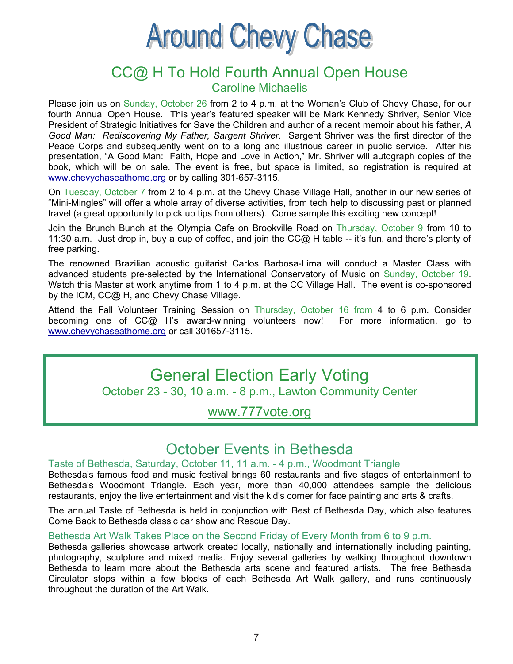# **Around Chevy Chase**

## CC@ H To Hold Fourth Annual Open House Caroline Michaelis

Please join us on Sunday, October 26 from 2 to 4 p.m. at the Woman's Club of Chevy Chase, for our fourth Annual Open House. This year's featured speaker will be Mark Kennedy Shriver, Senior Vice President of Strategic Initiatives for Save the Children and author of a recent memoir about his father, *A Good Man: Rediscovering My Father, Sargent Shriver.* Sargent Shriver was the first director of the Peace Corps and subsequently went on to a long and illustrious career in public service. After his presentation, "A Good Man: Faith, Hope and Love in Action," Mr. Shriver will autograph copies of the book, which will be on sale. The event is free, but space is limited, so registration is required at www.chevychaseathome.org or by calling 301-657-3115.

On Tuesday, October 7 from 2 to 4 p.m. at the Chevy Chase Village Hall, another in our new series of "Mini-Mingles" will offer a whole array of diverse activities, from tech help to discussing past or planned travel (a great opportunity to pick up tips from others). Come sample this exciting new concept!

Join the Brunch Bunch at the Olympia Cafe on Brookville Road on Thursday, October 9 from 10 to 11:30 a.m. Just drop in, buy a cup of coffee, and join the CC@ H table -- it's fun, and there's plenty of free parking.

The renowned Brazilian acoustic guitarist Carlos Barbosa-Lima will conduct a Master Class with advanced students pre-selected by the International Conservatory of Music on Sunday, October 19. Watch this Master at work anytime from 1 to 4 p.m. at the CC Village Hall. The event is co-sponsored by the ICM, CC@ H, and Chevy Chase Village.

Attend the Fall Volunteer Training Session on Thursday, October 16 from 4 to 6 p.m. Consider becoming one of CC@ H's award-winning volunteers now! For more information, go to www.chevychaseathome.org or call 301657-3115.

# General Election Early Voting October 23 - 30, 10 a.m. - 8 p.m., Lawton Community Center

# www.777vote.org

# October Events in Bethesda

### Taste of Bethesda, Saturday, October 11, 11 a.m. - 4 p.m., Woodmont Triangle

Bethesda's famous food and music festival brings 60 restaurants and five stages of entertainment to Bethesda's Woodmont Triangle. Each year, more than 40,000 attendees sample the delicious restaurants, enjoy the live entertainment and visit the kid's corner for face painting and arts & crafts.

The annual Taste of Bethesda is held in conjunction with Best of Bethesda Day, which also features Come Back to Bethesda classic car show and Rescue Day.

### Bethesda Art Walk Takes Place on the Second Friday of Every Month from 6 to 9 p.m.

Bethesda galleries showcase artwork created locally, nationally and internationally including painting, photography, sculpture and mixed media. Enjoy several galleries by walking throughout downtown Bethesda to learn more about the Bethesda arts scene and featured artists. The free Bethesda Circulator stops within a few blocks of each Bethesda Art Walk gallery, and runs continuously throughout the duration of the Art Walk.